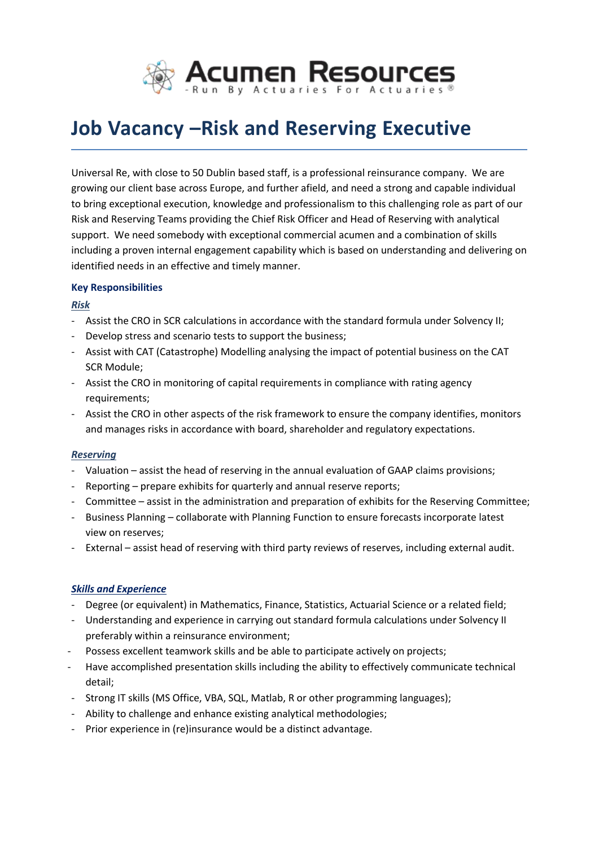

# **Job Vacancy –Risk and Reserving Executive**

Universal Re, with close to 50 Dublin based staff, is a professional reinsurance company. We are growing our client base across Europe, and further afield, and need a strong and capable individual to bring exceptional execution, knowledge and professionalism to this challenging role as part of our Risk and Reserving Teams providing the Chief Risk Officer and Head of Reserving with analytical support. We need somebody with exceptional commercial acumen and a combination of skills including a proven internal engagement capability which is based on understanding and delivering on identified needs in an effective and timely manner.

## **Key Responsibilities**

## *Risk*

- Assist the CRO in SCR calculations in accordance with the standard formula under Solvency II;
- Develop stress and scenario tests to support the business;
- Assist with CAT (Catastrophe) Modelling analysing the impact of potential business on the CAT SCR Module;
- Assist the CRO in monitoring of capital requirements in compliance with rating agency requirements;
- Assist the CRO in other aspects of the risk framework to ensure the company identifies, monitors and manages risks in accordance with board, shareholder and regulatory expectations.

#### *Reserving*

- Valuation assist the head of reserving in the annual evaluation of GAAP claims provisions;
- Reporting prepare exhibits for quarterly and annual reserve reports;
- Committee assist in the administration and preparation of exhibits for the Reserving Committee;
- Business Planning collaborate with Planning Function to ensure forecasts incorporate latest view on reserves;
- External assist head of reserving with third party reviews of reserves, including external audit.

# *Skills and Experience*

- Degree (or equivalent) in Mathematics, Finance, Statistics, Actuarial Science or a related field;
- Understanding and experience in carrying out standard formula calculations under Solvency II preferably within a reinsurance environment;
- Possess excellent teamwork skills and be able to participate actively on projects;
- Have accomplished presentation skills including the ability to effectively communicate technical detail;
- Strong IT skills (MS Office, VBA, SQL, Matlab, R or other programming languages);
- Ability to challenge and enhance existing analytical methodologies;
- Prior experience in (re)insurance would be a distinct advantage.